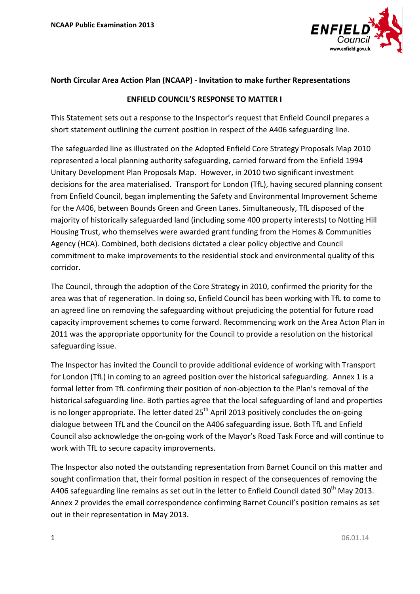

## **North Circular Area Action Plan (NCAAP) - Invitation to make further Representations**

## **ENFIELD COUNCIL'S RESPONSE TO MATTER I**

This Statement sets out a response to the Inspector's request that Enfield Council prepares a short statement outlining the current position in respect of the A406 safeguarding line.

The safeguarded line as illustrated on the Adopted Enfield Core Strategy Proposals Map 2010 represented a local planning authority safeguarding, carried forward from the Enfield 1994 Unitary Development Plan Proposals Map. However, in 2010 two significant investment decisions for the area materialised. Transport for London (TfL), having secured planning consent from Enfield Council, began implementing the Safety and Environmental Improvement Scheme for the A406, between Bounds Green and Green Lanes. Simultaneously, TfL disposed of the majority of historically safeguarded land (including some 400 property interests) to Notting Hill Housing Trust, who themselves were awarded grant funding from the Homes & Communities Agency (HCA). Combined, both decisions dictated a clear policy objective and Council commitment to make improvements to the residential stock and environmental quality of this corridor.

The Council, through the adoption of the Core Strategy in 2010, confirmed the priority for the area was that of regeneration. In doing so, Enfield Council has been working with TfL to come to an agreed line on removing the safeguarding without prejudicing the potential for future road capacity improvement schemes to come forward. Recommencing work on the Area Acton Plan in 2011 was the appropriate opportunity for the Council to provide a resolution on the historical safeguarding issue.

The Inspector has invited the Council to provide additional evidence of working with Transport for London (TfL) in coming to an agreed position over the historical safeguarding. Annex 1 is a formal letter from TfL confirming their position of non-objection to the Plan's removal of the historical safeguarding line. Both parties agree that the local safeguarding of land and properties is no longer appropriate. The letter dated  $25<sup>th</sup>$  April 2013 positively concludes the on-going dialogue between TfL and the Council on the A406 safeguarding issue. Both TfL and Enfield Council also acknowledge the on-going work of the Mayor's Road Task Force and will continue to work with TfL to secure capacity improvements.

The Inspector also noted the outstanding representation from Barnet Council on this matter and sought confirmation that, their formal position in respect of the consequences of removing the A406 safeguarding line remains as set out in the letter to Enfield Council dated  $30<sup>th</sup>$  May 2013. Annex 2 provides the email correspondence confirming Barnet Council's position remains as set out in their representation in May 2013.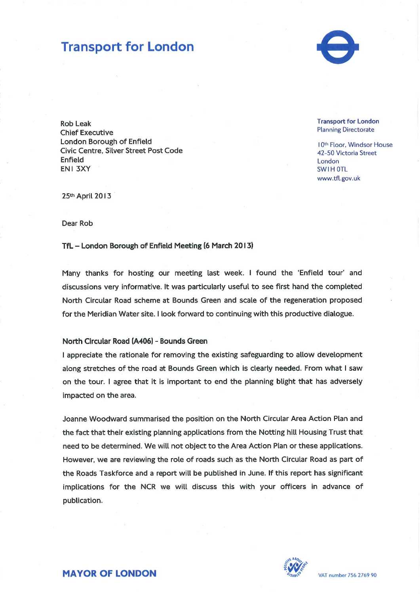# **Transport for London**



**Rob Leak Chief Executive** London Borough of Enfield Civic Centre, Silver Street Post Code Enfield ENI 3XY

**Transport for London Planning Directorate** 

10th Floor, Windsor House 42-50 Victoria Street **London SWIH OTL** www.tfl.gov.uk

25th April 2013

Dear Rob

TfL - London Borough of Enfield Meeting (6 March 2013)

Many thanks for hosting our meeting last week. I found the 'Enfield tour' and discussions very informative. It was particularly useful to see first hand the completed North Circular Road scheme at Bounds Green and scale of the regeneration proposed for the Meridian Water site. I look forward to continuing with this productive dialogue.

### North Circular Road (A406) - Bounds Green

I appreciate the rationale for removing the existing safeguarding to allow development along stretches of the road at Bounds Green which is clearly needed. From what I saw on the tour. I agree that it is important to end the planning blight that has adversely impacted on the area.

Joanne Woodward summarised the position on the North Circular Area Action Plan and the fact that their existing planning applications from the Notting hill Housing Trust that need to be determined. We will not object to the Area Action Plan or these applications. However, we are reviewing the role of roads such as the North Circular Road as part of the Roads Taskforce and a report will be published in June. If this report has significant implications for the NCR we will discuss this with your officers in advance of publication.



**MAYOR OF LONDON**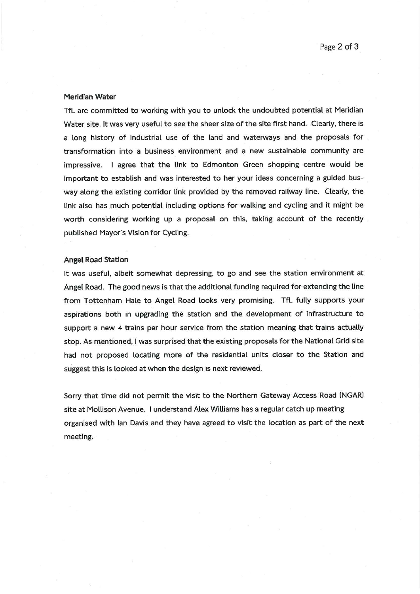### **Meridian Water**

TfL are committed to working with you to unlock the undoubted potential at Meridian Water site. It was very useful to see the sheer size of the site first hand. Clearly, there is a long history of industrial use of the land and waterways and the proposals for transformation into a business environment and a new sustainable community are impressive. I agree that the link to Edmonton Green shopping centre would be important to establish and was interested to her your ideas concerning a guided busway along the existing corridor link provided by the removed railway line. Clearly, the link also has much potential including options for walking and cycling and it might be worth considering working up a proposal on this, taking account of the recently published Mayor's Vision for Cycling.

### **Angel Road Station**

It was useful, albeit somewhat depressing, to go and see the station environment at Angel Road. The good news is that the additional funding required for extending the line from Tottenham Hale to Angel Road looks very promising. TfL fully supports your aspirations both in upgrading the station and the development of infrastructure to support a new 4 trains per hour service from the station meaning that trains actually stop. As mentioned, I was surprised that the existing proposals for the National Grid site had not proposed locating more of the residential units closer to the Station and suggest this is looked at when the design is next reviewed.

Sorry that time did not permit the visit to the Northern Gateway Access Road (NGAR) site at Mollison Avenue. I understand Alex Williams has a regular catch up meeting organised with lan Davis and they have agreed to visit the location as part of the next meeting.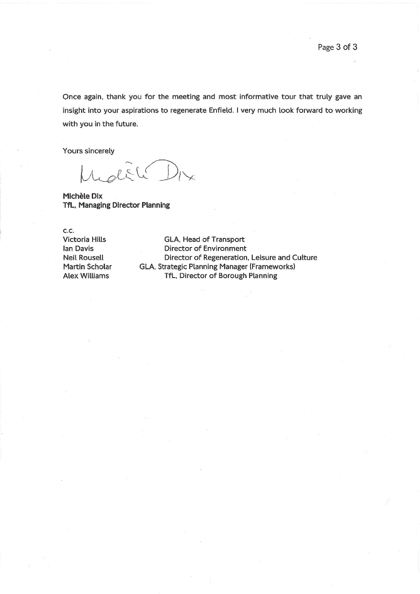Once again, thank you for the meeting and most informative tour that truly gave an insight into your aspirations to regenerate Enfield. I very much look forward to working with you in the future.

Yours sincerely

 $\overline{\mathsf{Y}}$ 

Michèle Dix TfL, Managing Director Planning

 $c.c.$ 

Victoria Hills lan Davis **Neil Rousell** Martin Scholar **Alex Williams** 

GLA, Head of Transport **Director of Environment** Director of Regeneration, Leisure and Culture GLA, Strategic Planning Manager (Frameworks) TfL, Director of Borough Planning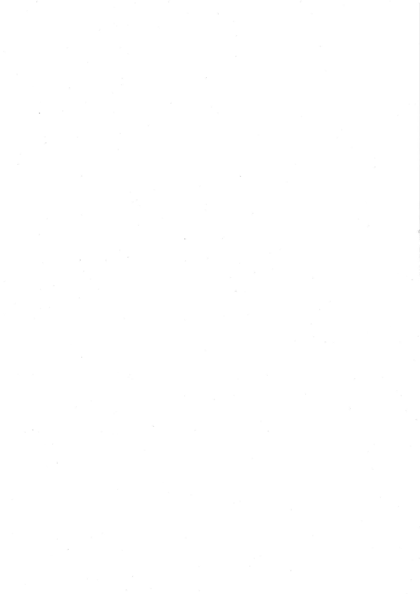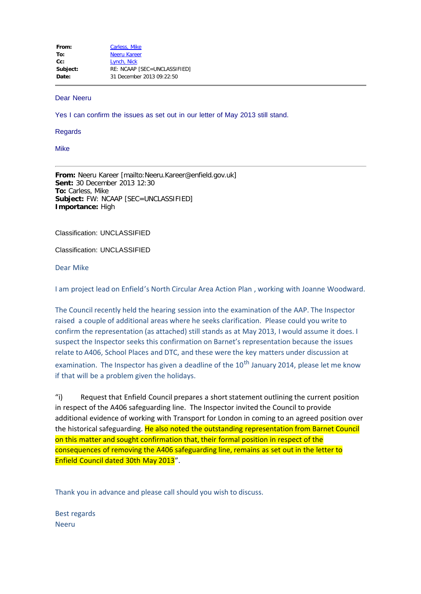#### Dear Neeru

Yes I can confirm the issues as set out in our letter of May 2013 still stand.

Regards

Mike

**From:** Neeru Kareer [mailto:Neeru.Kareer@enfield.gov.uk] **Sent:** 30 December 2013 12:30 **To:** Carless, Mike **Subject:** FW: NCAAP [SEC=UNCLASSIFIED] **Importance:** High

Classification: UNCLASSIFIED

Classification: UNCLASSIFIED

Dear Mike

I am project lead on Enfield's North Circular Area Action Plan , working with Joanne Woodward.

The Council recently held the hearing session into the examination of the AAP. The Inspector raised a couple of additional areas where he seeks clarification. Please could you write to confirm the representation (as attached) still stands as at May 2013, I would assume it does. I suspect the Inspector seeks this confirmation on Barnet's representation because the issues relate to A406, School Places and DTC, and these were the key matters under discussion at examination. The Inspector has given a deadline of the  $10<sup>th</sup>$  January 2014, please let me know if that will be a problem given the holidays.

"i) Request that Enfield Council prepares a short statement outlining the current position in respect of the A406 safeguarding line. The Inspector invited the Council to provide additional evidence of working with Transport for London in coming to an agreed position over the historical safeguarding. He also noted the outstanding representation from Barnet Council on this matter and sought confirmation that, their formal position in respect of the consequences of removing the A406 safeguarding line, remains as set out in the letter to Enfield Council dated 30th May 2013".

Thank you in advance and please call should you wish to discuss.

Best regards Neeru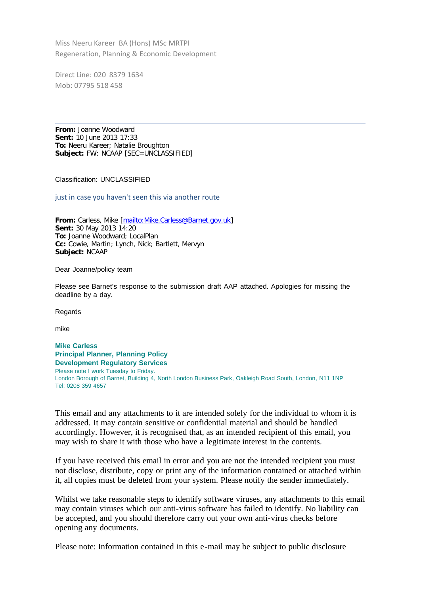Miss Neeru Kareer BA (Hons) MSc MRTPI Regeneration, Planning & Economic Development

Direct Line: 020 8379 1634 Mob: 07795 518 458

**From:** Joanne Woodward **Sent:** 10 June 2013 17:33 **To:** Neeru Kareer; Natalie Broughton **Subject:** FW: NCAAP [SEC=UNCLASSIFIED]

Classification: UNCLASSIFIED

just in case you haven't seen this via another route

**From:** Carless, Mike [mailto: Mike.Carless@Barnet.gov.uk] **Sent:** 30 May 2013 14:20 **To:** Joanne Woodward; LocalPlan **Cc:** Cowie, Martin; Lynch, Nick; Bartlett, Mervyn **Subject:** NCAAP

Dear Joanne/policy team

Please see Barnet's response to the submission draft AAP attached. Apologies for missing the deadline by a day.

Regards

mike

**Mike Carless Principal Planner, Planning Policy Development Regulatory Services** Please note I work Tuesday to Friday. London Borough of Barnet, Building 4, North London Business Park, Oakleigh Road South, London, N11 1NP Tel: 0208 359 4657

This email and any attachments to it are intended solely for the individual to whom it is addressed. It may contain sensitive or confidential material and should be handled accordingly. However, it is recognised that, as an intended recipient of this email, you may wish to share it with those who have a legitimate interest in the contents.

If you have received this email in error and you are not the intended recipient you must not disclose, distribute, copy or print any of the information contained or attached within it, all copies must be deleted from your system. Please notify the sender immediately.

Whilst we take reasonable steps to identify software viruses, any attachments to this email may contain viruses which our anti-virus software has failed to identify. No liability can be accepted, and you should therefore carry out your own anti-virus checks before opening any documents.

Please note: Information contained in this e-mail may be subject to public disclosure